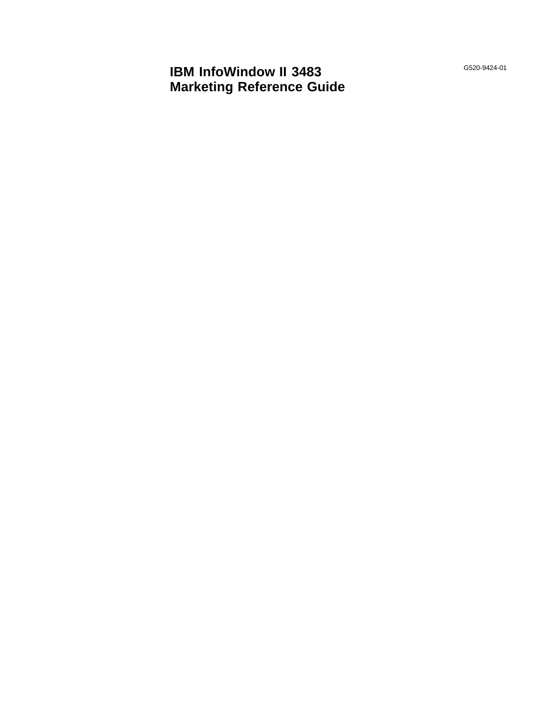**IBM InfoWindow II 3483 Marketing Reference Guide** G520-9424-01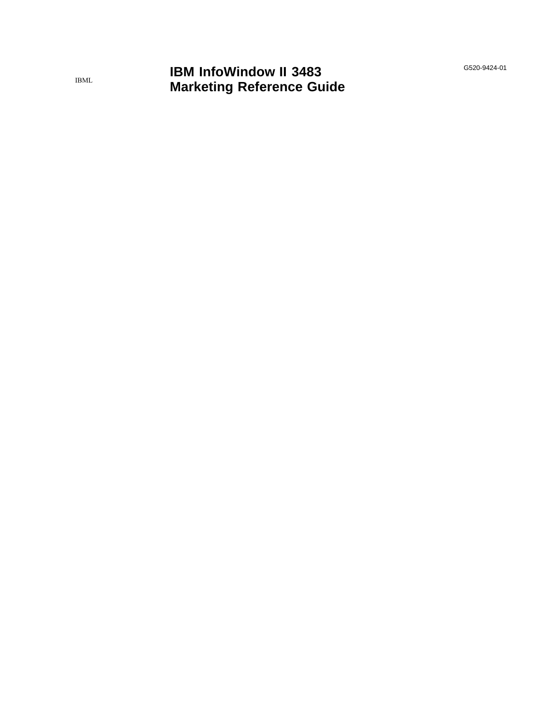G520-9424-01

# **IBM InfoWindow II 3483 Marketing Reference Guide**

IBML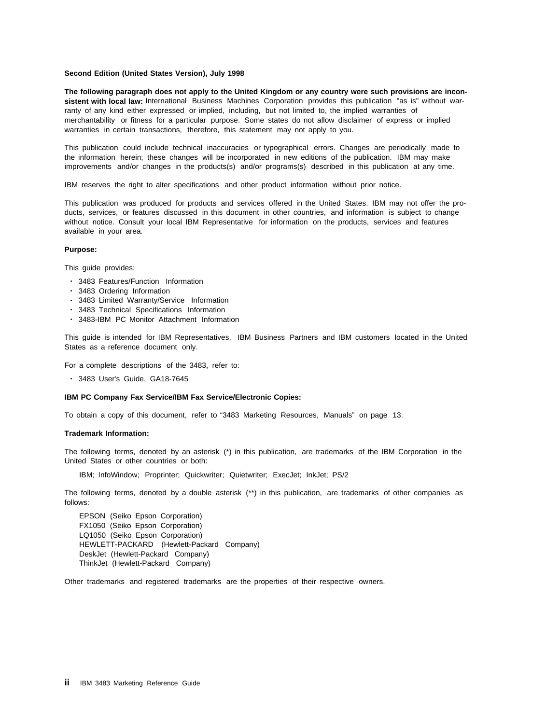#### **Second Edition (United States Version), July 1998**

**The following paragraph does not apply to the United Kingdom or any country were such provisions are inconsistent with local law:** International Business Machines Corporation provides this publication "as is" without warranty of any kind either expressed or implied, including, but not limited to, the implied warranties of merchantability or fitness for a particular purpose. Some states do not allow disclaimer of express or implied warranties in certain transactions, therefore, this statement may not apply to you.

This publication could include technical inaccuracies or typographical errors. Changes are periodically made to the information herein; these changes will be incorporated in new editions of the publication. IBM may make improvements and/or changes in the products(s) and/or programs(s) described in this publication at any time.

IBM reserves the right to alter specifications and other product information without prior notice.

This publication was produced for products and services offered in the United States. IBM may not offer the products, services, or features discussed in this document in other countries, and information is subject to change without notice. Consult your local IBM Representative for information on the products, services and features available in your area.

#### **Purpose:**

This guide provides:

- 3483 Features/Function Information
- 3483 Ordering Information
- 3483 Limited Warranty/Service Information
- 3483 Technical Specifications Information
- 3483-IBM PC Monitor Attachment Information

This guide is intended for IBM Representatives, IBM Business Partners and IBM customers located in the United States as a reference document only.

For a complete descriptions of the 3483, refer to:

• 3483 User's Guide, GA18-7645

#### **IBM PC Company Fax Service/IBM Fax Service/Electronic Copies:**

To obtain a copy of this document, refer to "3483 Marketing Resources, Manuals" on page 13.

#### **Trademark Information:**

The following terms, denoted by an asterisk (\*) in this publication, are trademarks of the IBM Corporation in the United States or other countries or both:

IBM; InfoWindow; Proprinter; Quickwriter; Quietwriter; ExecJet; InkJet; PS/2

The following terms, denoted by a double asterisk (\*\*) in this publication, are trademarks of other companies as follows:

EPSON (Seiko Epson Corporation) FX1050 (Seiko Epson Corporation) LQ1050 (Seiko Epson Corporation) HEWLETT-PACKARD (Hewlett-Packard Company) DeskJet (Hewlett-Packard Company) ThinkJet (Hewlett-Packard Company)

Other trademarks and registered trademarks are the properties of their respective owners.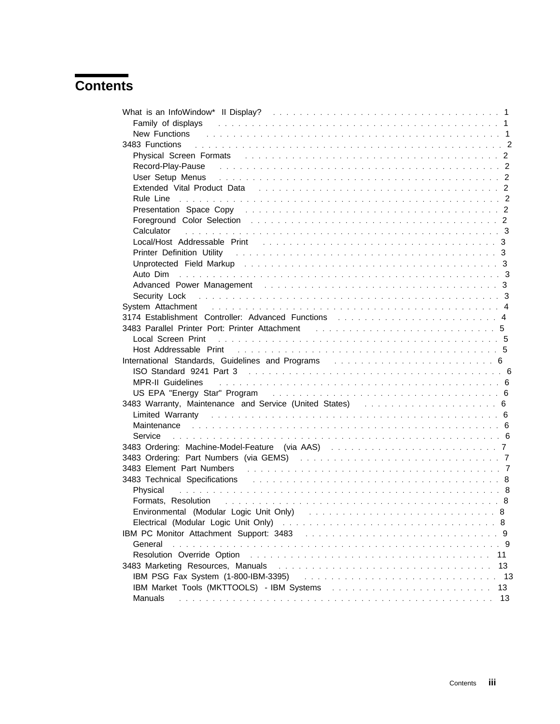# **Contents**

| Family of displays and a subset of the state of the state of the state of the state of the state of the state of the state of the state of the state of the state of the state of the state of the state of the state of the s       |          |
|--------------------------------------------------------------------------------------------------------------------------------------------------------------------------------------------------------------------------------------|----------|
| <b>New Functions</b> ( <i>i.e., i.e., i.e., i.e., i.e., i.e., i.e., i.e., i.e., i.e., i.e., i.e.</i> 1                                                                                                                               |          |
|                                                                                                                                                                                                                                      |          |
|                                                                                                                                                                                                                                      |          |
| Record-Play-Pause records and the contract of the contract of the contract of the contract of the contract of the contract of the contract of the contract of the contract of the contract of the contract of the contract of        |          |
| User Setup Menus entertainment and the set of the set of the set of the set of the set of the set of the set of the set of the set of the set of the set of the set of the set of the set of the set of the set of the set of        |          |
| Extended Vital Product Data response to the contract of the contract of the contract of the contract of the contract of the contract of the contract of the contract of the contract of the contract of the contract of the co       |          |
|                                                                                                                                                                                                                                      |          |
| Presentation Space Copy (and a subsequently and a subsequently and a subsequently and a subsequently and a subsequently and $2$                                                                                                      |          |
| Foreground Color Selection (Fig. 1991) and the contract of the contract of the contract of the contract of the contract of the contract of the contract of the contract of the contract of the contract of the contract of the       |          |
|                                                                                                                                                                                                                                      |          |
| Local/Host Addressable Print (and all and all and all and all and all and all and all and all and all and all a                                                                                                                      |          |
| Printer Definition Utility (Although Line and Although Line and Although Line and Although Line and Although D                                                                                                                       |          |
|                                                                                                                                                                                                                                      |          |
|                                                                                                                                                                                                                                      |          |
| Advanced Power Management (and all also contained a state of the state of the state of the state of the state of the state of the state of the state of the state of the state of the state of the state of the state of the s       |          |
| Security Lock (and a subsequently and a subsequently and a subsequently and a subsequently and a subsequently a subsequently and $3$                                                                                                 |          |
| System Attachment enterpreteration of the system of the system of the system of the system of the system of the system of the system of the system of the system of the system of the system of the system of the system of th       |          |
| 3174 Establishment Controller: Advanced Functions (also assessed as a serie of the state of 4                                                                                                                                        |          |
|                                                                                                                                                                                                                                      |          |
| Local Screen Print <i>and a content of the content of the content of the content of the content of the content of the content of the content of the content of the content of the content of the content of the content of the c</i> |          |
| Host Addressable Print the contract of the contract of the contract of the contract of the Host Addressable Print                                                                                                                    |          |
|                                                                                                                                                                                                                                      |          |
|                                                                                                                                                                                                                                      |          |
| International Standards, Guidelines and Programs enterstanding and the control of the control of the material of the material of the material of the material of the material of the material of the material of the material        |          |
|                                                                                                                                                                                                                                      |          |
| MPR-II Guidelines and account to the contract of the contract of the contract of the contract of the contract of the contract of the contract of the contract of the contract of the contract of the contract of the contract        |          |
|                                                                                                                                                                                                                                      |          |
| 3483 Warranty, Maintenance and Service (United States) Almander Marchanter States (6                                                                                                                                                 |          |
| Limited Warranty (1990) 1996 (1999) 1997 (1998) 1998 (1999) 1999 (1999) 1999 (1999) 1999 (1999) 1999 (1999) 19                                                                                                                       |          |
| Maintenance contract the contract of the contract of the contract of the contract of the contract of the contract of the contract of the contract of the contract of the contract of the contract of the contract of the contr       |          |
|                                                                                                                                                                                                                                      |          |
|                                                                                                                                                                                                                                      |          |
|                                                                                                                                                                                                                                      |          |
|                                                                                                                                                                                                                                      |          |
| 3483 Technical Specifications (and all contracts of the contracts of the contracts of the contracts of the contracts of the contracts of the contracts of the contracts of the contracts of the contracts of the contracts of        |          |
|                                                                                                                                                                                                                                      |          |
| Formats, Resolution and account of the contract of the contract of the contract of the contract of the contract of the contract of the contract of the contract of the contract of the contract of the contract of the contrac       |          |
| Environmental (Modular Logic Unit Only) and account of the control of the Shift of Shift of the Control of the                                                                                                                       |          |
|                                                                                                                                                                                                                                      |          |
|                                                                                                                                                                                                                                      |          |
| General                                                                                                                                                                                                                              |          |
|                                                                                                                                                                                                                                      | 11       |
| 3483 Marketing Resources, Manuals                                                                                                                                                                                                    | 13       |
| IBM PSG Fax System (1-800-IBM-3395)                                                                                                                                                                                                  |          |
| Manuals                                                                                                                                                                                                                              | 13<br>13 |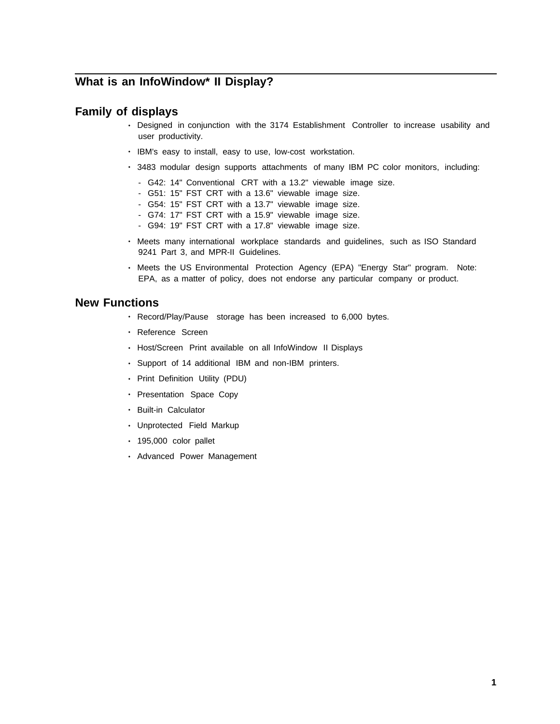# **What is an InfoWindow\* II Display?**

### **Family of displays**

- Designed in conjunction with the 3174 Establishment Controller to increase usability and user productivity.
- IBM's easy to install, easy to use, low-cost workstation.
- 3483 modular design supports attachments of many IBM PC color monitors, including:
	- G42: 14" Conventional CRT with a 13.2" viewable image size.
	- G51: 15" FST CRT with a 13.6" viewable image size.
	- G54: 15" FST CRT with a 13.7" viewable image size.
	- G74: 17" FST CRT with a 15.9" viewable image size.
	- G94: 19" FST CRT with a 17.8" viewable image size.
- Meets many international workplace standards and guidelines, such as ISO Standard 9241 Part 3, and MPR-II Guidelines.
- Meets the US Environmental Protection Agency (EPA) "Energy Star" program. Note: EPA, as a matter of policy, does not endorse any particular company or product.

### **New Functions**

- Record/Play/Pause storage has been increased to 6,000 bytes.
- Reference Screen
- Host/Screen Print available on all InfoWindow II Displays
- Support of 14 additional IBM and non-IBM printers.
- Print Definition Utility (PDU)
- Presentation Space Copy
- Built-in Calculator
- Unprotected Field Markup
- 195,000 color pallet
- Advanced Power Management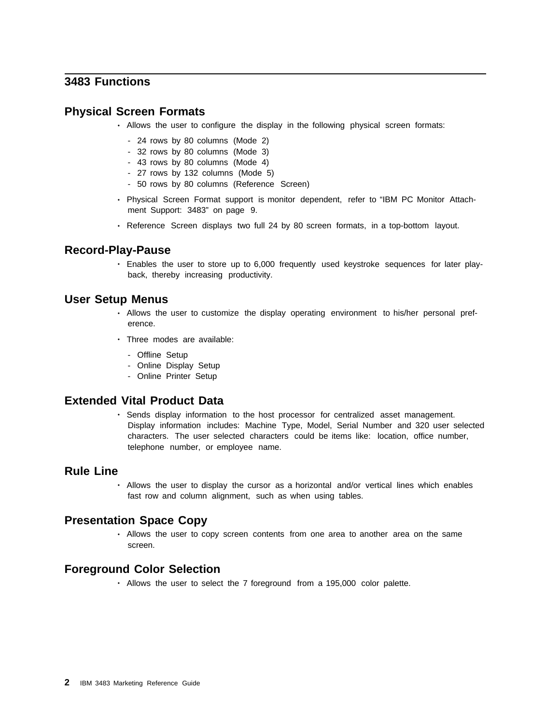### **3483 Functions**

### **Physical Screen Formats**

- Allows the user to configure the display in the following physical screen formats:
	- 24 rows by 80 columns (Mode 2)
	- 32 rows by 80 columns (Mode 3)
	- 43 rows by 80 columns (Mode 4)
	- 27 rows by 132 columns (Mode 5)
	- 50 rows by 80 columns (Reference Screen)
- Physical Screen Format support is monitor dependent, refer to "IBM PC Monitor Attachment Support: 3483" on page 9.
- Reference Screen displays two full 24 by 80 screen formats, in a top-bottom layout.

### **Record-Play-Pause**

• Enables the user to store up to 6,000 frequently used keystroke sequences for later playback, thereby increasing productivity.

#### **User Setup Menus**

- Allows the user to customize the display operating environment to his/her personal preference.
- Three modes are available:
	- Offline Setup
	- Online Display Setup
	- Online Printer Setup

### **Extended Vital Product Data**

• Sends display information to the host processor for centralized asset management. Display information includes: Machine Type, Model, Serial Number and 320 user selected characters. The user selected characters could be items like: location, office number, telephone number, or employee name.

### **Rule Line**

• Allows the user to display the cursor as a horizontal and/or vertical lines which enables fast row and column alignment, such as when using tables.

### **Presentation Space Copy**

• Allows the user to copy screen contents from one area to another area on the same screen.

### **Foreground Color Selection**

• Allows the user to select the 7 foreground from a 195,000 color palette.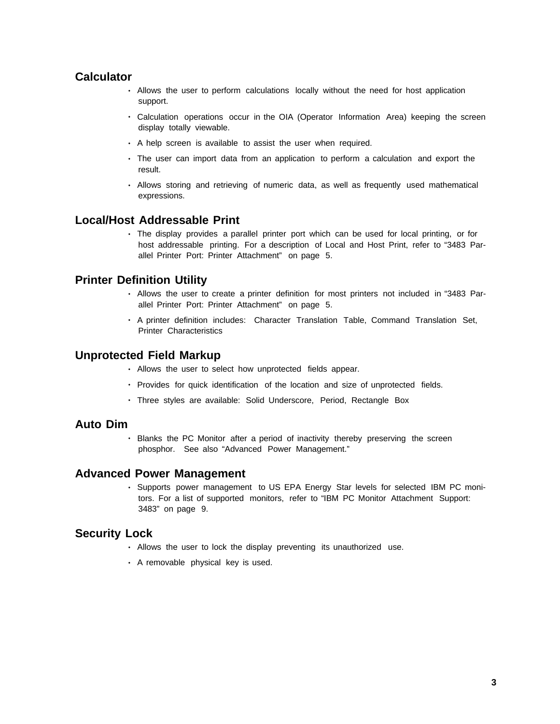### **Calculator**

- Allows the user to perform calculations locally without the need for host application support.
- Calculation operations occur in the OIA (Operator Information Area) keeping the screen display totally viewable.
- A help screen is available to assist the user when required.
- The user can import data from an application to perform a calculation and export the result.
- Allows storing and retrieving of numeric data, as well as frequently used mathematical expressions.

### **Local/Host Addressable Print**

• The display provides a parallel printer port which can be used for local printing, or for host addressable printing. For a description of Local and Host Print, refer to "3483 Parallel Printer Port: Printer Attachment" on page 5.

### **Printer Definition Utility**

- Allows the user to create a printer definition for most printers not included in "3483 Parallel Printer Port: Printer Attachment" on page 5.
- A printer definition includes: Character Translation Table, Command Translation Set, Printer Characteristics

#### **Unprotected Field Markup**

- Allows the user to select how unprotected fields appear.
- Provides for quick identification of the location and size of unprotected fields.
- Three styles are available: Solid Underscore, Period, Rectangle Box

### **Auto Dim**

• Blanks the PC Monitor after a period of inactivity thereby preserving the screen phosphor. See also "Advanced Power Management."

### **Advanced Power Management**

• Supports power management to US EPA Energy Star levels for selected IBM PC monitors. For a list of supported monitors, refer to "IBM PC Monitor Attachment Support: 3483" on page 9.

#### **Security Lock**

- Allows the user to lock the display preventing its unauthorized use.
- A removable physical key is used.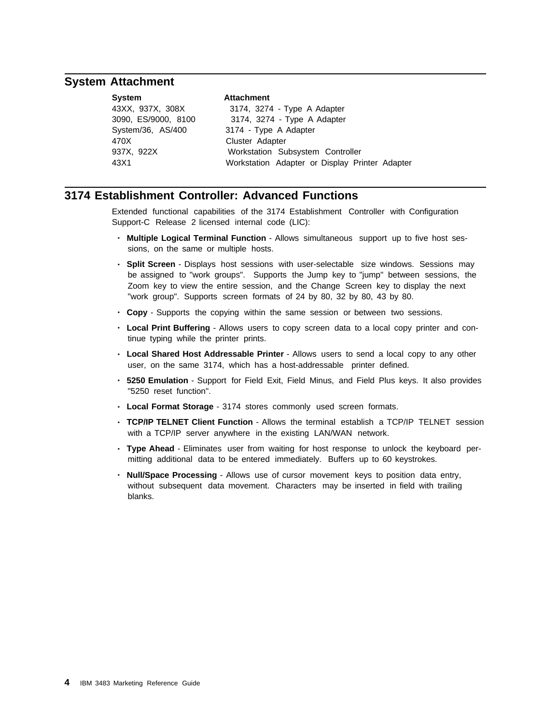### **System Attachment**

| <b>System</b>       | <b>Attachment</b>                              |
|---------------------|------------------------------------------------|
| 43XX, 937X, 308X    | 3174, 3274 - Type A Adapter                    |
| 3090, ES/9000, 8100 | 3174, 3274 - Type A Adapter                    |
| System/36, AS/400   | 3174 - Type A Adapter                          |
| 470X                | Cluster Adapter                                |
| 937X, 922X          | Workstation Subsystem Controller               |
| 43X1                | Workstation Adapter or Display Printer Adapter |

### **3174 Establishment Controller: Advanced Functions**

Extended functional capabilities of the 3174 Establishment Controller with Configuration Support-C Release 2 licensed internal code (LIC):

- **Multiple Logical Terminal Function** Allows simultaneous support up to five host sessions, on the same or multiple hosts.
- **Split Screen** Displays host sessions with user-selectable size windows. Sessions may be assigned to "work groups". Supports the Jump key to "jump" between sessions, the Zoom key to view the entire session, and the Change Screen key to display the next "work group". Supports screen formats of 24 by 80, 32 by 80, 43 by 80.
- **Copy** Supports the copying within the same session or between two sessions.
- **Local Print Buffering** Allows users to copy screen data to a local copy printer and continue typing while the printer prints.
- **Local Shared Host Addressable Printer** Allows users to send a local copy to any other user, on the same 3174, which has a host-addressable printer defined.
- **5250 Emulation** Support for Field Exit, Field Minus, and Field Plus keys. It also provides "5250 reset function".
- **Local Format Storage** 3174 stores commonly used screen formats.
- **TCP/IP TELNET Client Function** Allows the terminal establish a TCP/IP TELNET session with a TCP/IP server anywhere in the existing LAN/WAN network.
- **Type Ahead** Eliminates user from waiting for host response to unlock the keyboard permitting additional data to be entered immediately. Buffers up to 60 keystrokes.
- **Null/Space Processing** Allows use of cursor movement keys to position data entry, without subsequent data movement. Characters may be inserted in field with trailing blanks.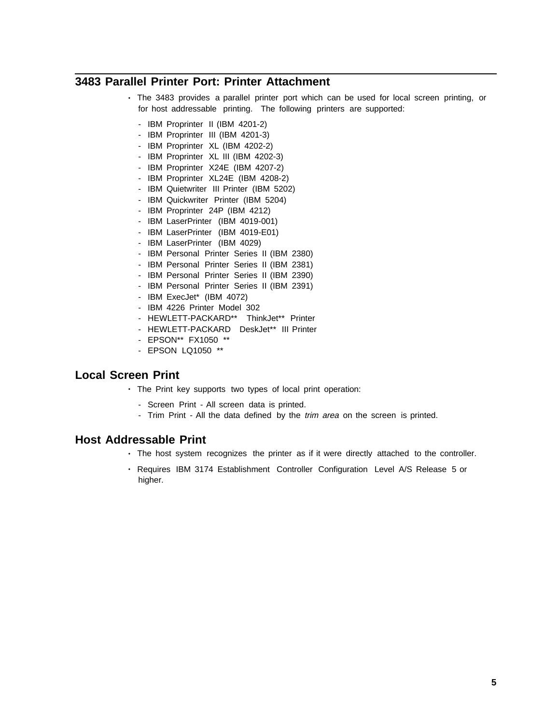### **3483 Parallel Printer Port: Printer Attachment**

- The 3483 provides a parallel printer port which can be used for local screen printing, or for host addressable printing. The following printers are supported:
	- IBM Proprinter II (IBM 4201-2)
	- IBM Proprinter III (IBM 4201-3)
	- IBM Proprinter XL (IBM 4202-2)
	- IBM Proprinter XL III (IBM 4202-3)
	- IBM Proprinter X24E (IBM 4207-2)
	- IBM Proprinter XL24E (IBM 4208-2)
	- IBM Quietwriter III Printer (IBM 5202)
	- IBM Quickwriter Printer (IBM 5204)
	- IBM Proprinter 24P (IBM 4212)
	- IBM LaserPrinter (IBM 4019-001)
	- IBM LaserPrinter (IBM 4019-E01)
	- IBM LaserPrinter (IBM 4029)
	- IBM Personal Printer Series II (IBM 2380)
	- IBM Personal Printer Series II (IBM 2381)
	- IBM Personal Printer Series II (IBM 2390)
	- IBM Personal Printer Series II (IBM 2391)
	- IBM ExecJet\* (IBM 4072)
	- IBM 4226 Printer Model 302
	- HEWLETT-PACKARD\*\* ThinkJet\*\* Printer
	- HEWLETT-PACKARD DeskJet\*\* III Printer
	- EPSON\*\* FX1050 \*\*
	- EPSON LQ1050 \*\*

### **Local Screen Print**

- The Print key supports two types of local print operation:
	- Screen Print All screen data is printed.
	- Trim Print All the data defined by the *trim area* on the screen is printed.

#### **Host Addressable Print**

- The host system recognizes the printer as if it were directly attached to the controller.
- Requires IBM 3174 Establishment Controller Configuration Level A/S Release 5 or higher.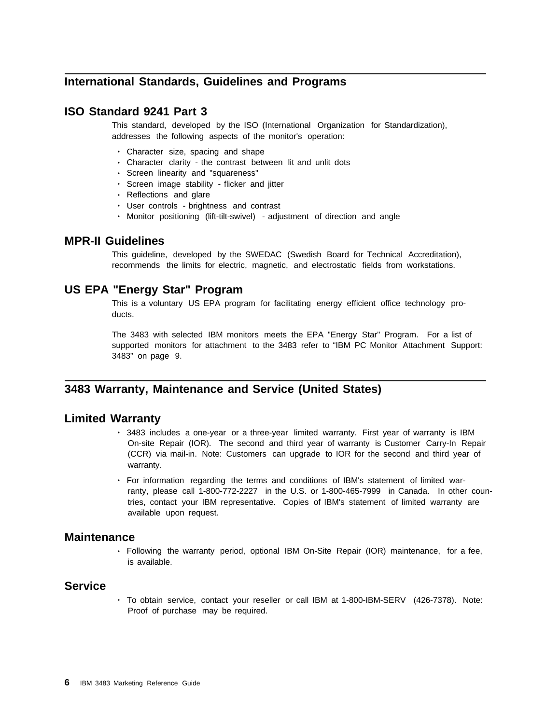### **International Standards, Guidelines and Programs**

### **ISO Standard 9241 Part 3**

This standard, developed by the ISO (International Organization for Standardization), addresses the following aspects of the monitor's operation:

- Character size, spacing and shape
- Character clarity the contrast between lit and unlit dots
- Screen linearity and "squareness"
- Screen image stability flicker and jitter
- Reflections and glare
- User controls brightness and contrast
- Monitor positioning (lift-tilt-swivel) adjustment of direction and angle

#### **MPR-II Guidelines**

This guideline, developed by the SWEDAC (Swedish Board for Technical Accreditation), recommends the limits for electric, magnetic, and electrostatic fields from workstations.

### **US EPA "Energy Star" Program**

This is a voluntary US EPA program for facilitating energy efficient office technology products.

The 3483 with selected IBM monitors meets the EPA "Energy Star" Program. For a list of supported monitors for attachment to the 3483 refer to "IBM PC Monitor Attachment Support: 3483" on page 9.

### **3483 Warranty, Maintenance and Service (United States)**

#### **Limited Warranty**

- 3483 includes a one-year or a three-year limited warranty. First year of warranty is IBM On-site Repair (IOR). The second and third year of warranty is Customer Carry-In Repair (CCR) via mail-in. Note: Customers can upgrade to IOR for the second and third year of warranty.
- For information regarding the terms and conditions of IBM's statement of limited warranty, please call 1-800-772-2227 in the U.S. or 1-800-465-7999 in Canada. In other countries, contact your IBM representative. Copies of IBM's statement of limited warranty are available upon request.

#### **Maintenance**

• Following the warranty period, optional IBM On-Site Repair (IOR) maintenance, for a fee, is available.

### **Service**

• To obtain service, contact your reseller or call IBM at 1-800-IBM-SERV (426-7378). Note: Proof of purchase may be required.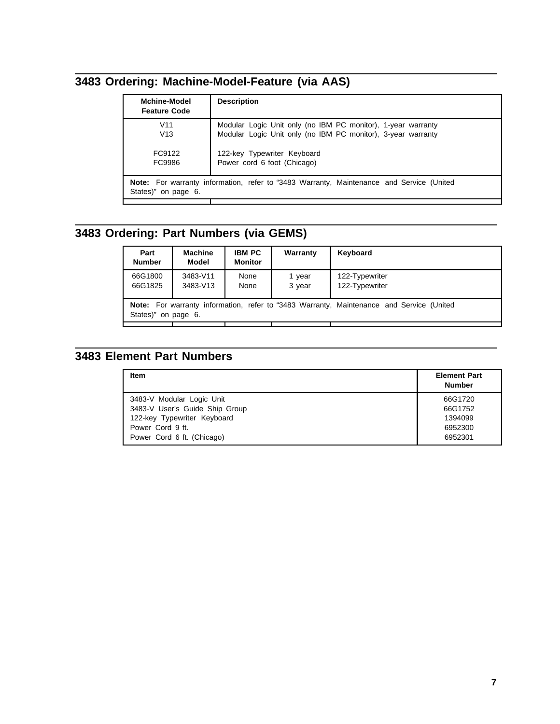# **3483 Ordering: Machine-Model-Feature (via AAS)**

| <b>Mchine-Model</b><br><b>Feature Code</b> | <b>Description</b>                                                                                                           |
|--------------------------------------------|------------------------------------------------------------------------------------------------------------------------------|
| V <sub>11</sub><br>V13                     | Modular Logic Unit only (no IBM PC monitor), 1-year warranty<br>Modular Logic Unit only (no IBM PC monitor), 3-year warranty |
| FC9122<br>FC9986                           | 122-key Typewriter Keyboard<br>Power cord 6 foot (Chicago)                                                                   |
|                                            |                                                                                                                              |
| States)" on page 6.                        | Note: For warranty information, refer to "3483 Warranty, Maintenance and Service (United                                     |

# **3483 Ordering: Part Numbers (via GEMS)**

| Part<br><b>Number</b>                                                                                                     | <b>Machine</b><br>Model | <b>IBM PC</b><br><b>Monitor</b> | Warranty         | Keyboard                         |
|---------------------------------------------------------------------------------------------------------------------------|-------------------------|---------------------------------|------------------|----------------------------------|
| 66G1800<br>66G1825                                                                                                        | 3483-V11<br>3483-V13    | None<br>None                    | 1 year<br>3 year | 122-Typewriter<br>122-Typewriter |
| <b>Note:</b> For warranty information, refer to "3483 Warranty, Maintenance and Service (United<br>States)"<br>on page 6. |                         |                                 |                  |                                  |

# **3483 Element Part Numbers**

| Item                           | <b>Element Part</b><br><b>Number</b> |
|--------------------------------|--------------------------------------|
| 3483-V Modular Logic Unit      | 66G1720                              |
| 3483-V User's Guide Ship Group | 66G1752                              |
| 122-key Typewriter Keyboard    | 1394099                              |
| Power Cord 9 ft.               | 6952300                              |
| Power Cord 6 ft. (Chicago)     | 6952301                              |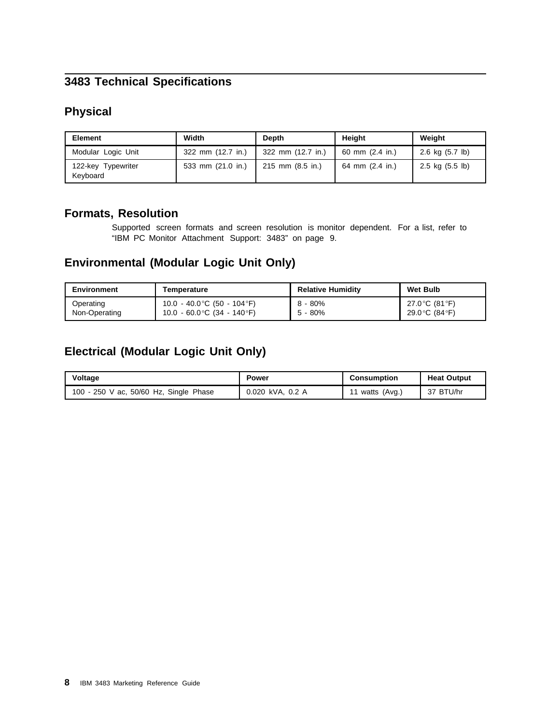# **3483 Technical Specifications**

## **Physical**

| <b>Element</b>                 | Width<br><b>Depth</b> |                   | <b>Height</b>   | Weight          |
|--------------------------------|-----------------------|-------------------|-----------------|-----------------|
| Modular Logic Unit             | 322 mm (12.7 in.)     | 322 mm (12.7 in.) | 60 mm (2.4 in.) | 2.6 kg (5.7 lb) |
| 122-key Typewriter<br>Keyboard | 533 mm (21.0 in.)     | 215 mm (8.5 in.)  | 64 mm (2.4 in.) | 2.5 kg (5.5 lb) |

### **Formats, Resolution**

Supported screen formats and screen resolution is monitor dependent. For a list, refer to "IBM PC Monitor Attachment Support: 3483" on page 9.

### **Environmental (Modular Logic Unit Only)**

| Environment<br>Temperature |                              | <b>Relative Humidity</b> | <b>Wet Bulb</b> |
|----------------------------|------------------------------|--------------------------|-----------------|
| Operating                  | 10.0 - 40.0 °C (50 - 104 °F) | 8 - 80%                  | 27.0 °C (81 °F) |
| Non-Operating              | 10.0 - 60.0 °C (34 - 140 °F) | $5 - 80%$                | 29.0 °C (84 °F) |

## **Electrical (Modular Logic Unit Only)**

| Voltage                                | Power            | Consumption    | <b>Heat Output</b> |
|----------------------------------------|------------------|----------------|--------------------|
| 100 - 250 V ac, 50/60 Hz, Single Phase | 0.020 kVA, 0.2 A | vatts $(Avg.)$ | 37 BTU/hr          |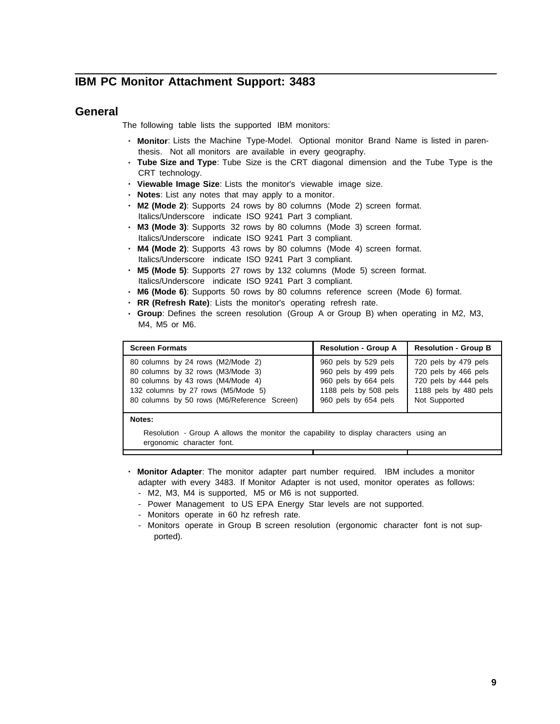### **IBM PC Monitor Attachment Support: 3483**

### **General**

The following table lists the supported IBM monitors:

- **Monitor**: Lists the Machine Type-Model. Optional monitor Brand Name is listed in parenthesis. Not all monitors are available in every geography.
- **Tube Size and Type**: Tube Size is the CRT diagonal dimension and the Tube Type is the CRT technology.
- **Viewable Image Size**: Lists the monitor's viewable image size.
- **Notes**: List any notes that may apply to a monitor.
- **M2 (Mode 2)**: Supports 24 rows by 80 columns (Mode 2) screen format. Italics/Underscore indicate ISO 9241 Part 3 compliant.
- **M3 (Mode 3)**: Supports 32 rows by 80 columns (Mode 3) screen format. Italics/Underscore indicate ISO 9241 Part 3 compliant.
- **M4 (Mode 2)**: Supports 43 rows by 80 columns (Mode 4) screen format. Italics/Underscore indicate ISO 9241 Part 3 compliant.
- **M5 (Mode 5)**: Supports 27 rows by 132 columns (Mode 5) screen format. Italics/Underscore indicate ISO 9241 Part 3 compliant.
- **M6 (Mode 6)**: Supports 50 rows by 80 columns reference screen (Mode 6) format.
- **RR (Refresh Rate)**: Lists the monitor's operating refresh rate.
- **Group**: Defines the screen resolution (Group A or Group B) when operating in M2, M3, M4, M5 or M6.

| <b>Screen Formats</b>                       | <b>Resolution - Group A</b> | <b>Resolution - Group B</b> |
|---------------------------------------------|-----------------------------|-----------------------------|
| 80 columns by 24 rows (M2/Mode 2)           | 960 pels by 529 pels        | 720 pels by 479 pels        |
| 80 columns by 32 rows (M3/Mode 3)           | 960 pels by 499 pels        | 720 pels by 466 pels        |
| 80 columns by 43 rows (M4/Mode 4)           | 960 pels by 664 pels        | 720 pels by 444 pels        |
| 132 columns by 27 rows (M5/Mode 5)          | 1188 pels by 508 pels       | 1188 pels by 480 pels       |
| 80 columns by 50 rows (M6/Reference Screen) | 960 pels by 654 pels        | Not Supported               |

#### **Notes:**

Resolution - Group A allows the monitor the capability to display characters using an ergonomic character font.

- **Monitor Adapter**: The monitor adapter part number required. IBM includes a monitor adapter with every 3483. If Monitor Adapter is not used, monitor operates as follows: - M2, M3, M4 is supported, M5 or M6 is not supported.
	- Power Management to US EPA Energy Star levels are not supported.
	- Monitors operate in 60 hz refresh rate.
	- Monitors operate in Group B screen resolution (ergonomic character font is not supported).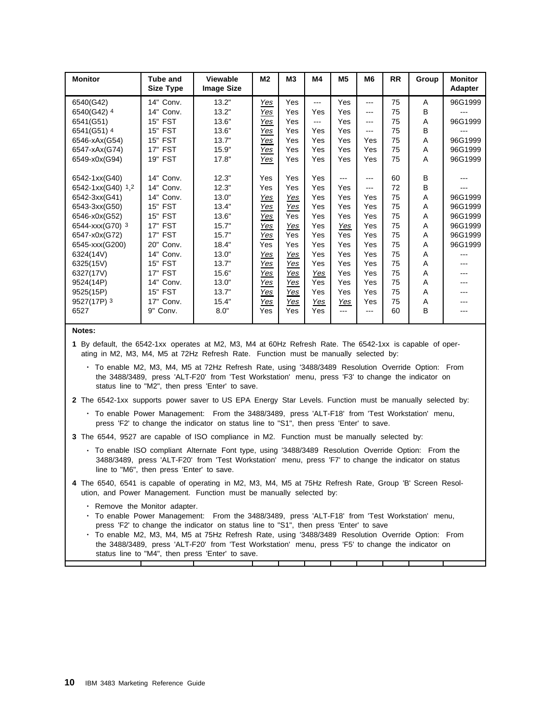| <b>Monitor</b>    | <b>Tube and</b><br><b>Size Type</b> | <b>Viewable</b><br><b>Image Size</b> | M2         | MЗ         | M4   | M <sub>5</sub> | M <sub>6</sub> | <b>RR</b> | Group | <b>Monitor</b><br><b>Adapter</b> |
|-------------------|-------------------------------------|--------------------------------------|------------|------------|------|----------------|----------------|-----------|-------|----------------------------------|
| 6540(G42)         | 14" Conv.                           | 13.2"                                | Yes        | Yes        | ---  | Yes            | $---$          | 75        | A     | 96G1999                          |
| 6540(G42) 4       | 14"<br>Conv.                        | 13.2"                                | Yes        | Yes        | Yes  | Yes            | $---$          | 75        | B     |                                  |
| 6541(G51)         | 15" FST                             | 13.6"                                | Yes        | Yes        | $--$ | Yes            | $---$          | 75        | A     | 96G1999                          |
| 6541(G51) 4       | <b>15" FST</b>                      | 13.6"                                | Yes        | Yes        | Yes  | Yes            | $---$          | 75        | B     |                                  |
| 6546-xAx(G54)     | <b>15" FST</b>                      | 13.7"                                | Yes        | Yes        | Yes  | Yes            | Yes            | 75        | A     | 96G1999                          |
| 6547-xAx(G74)     | 17" FST                             | 15.9"                                | Yes        | Yes        | Yes  | Yes            | Yes            | 75        | A     | 96G1999                          |
| 6549-x0x(G94)     | 19" FST                             | 17.8"                                | Yes        | Yes        | Yes  | Yes            | Yes            | 75        | A     | 96G1999                          |
|                   |                                     |                                      |            |            |      |                |                |           |       |                                  |
| 6542-1xx(G40)     | 14"<br>Conv.                        | 12.3"                                | Yes        | Yes        | Yes  | ---            | $---$          | 60        | B     |                                  |
| 6542-1xx(G40) 1,2 | 14"<br>Conv.                        | 12.3"                                | Yes        | Yes        | Yes  | Yes            | ---            | 72        | B     |                                  |
| 6542-3xx(G41)     | 14"<br>Conv.                        | 13.0"                                | <u>Yes</u> | <u>Yes</u> | Yes  | Yes            | Yes            | 75        | A     | 96G1999                          |
| 6543-3xx(G50)     | 15" FST                             | 13.4"                                | Yes        | Yes        | Yes  | Yes            | Yes            | 75        | A     | 96G1999                          |
| 6546-x0x(G52)     | 15" FST                             | 13.6"                                | Yes        | Yes        | Yes  | Yes            | Yes            | 75        | A     | 96G1999                          |
| 6544-xxx(G70) 3   | <b>17" FST</b>                      | 15.7"                                | Yes        | Yes        | Yes  | Yes            | Yes            | 75        | A     | 96G1999                          |
| 6547-x0x(G72)     | 17" FST                             | 15.7"                                | Yes        | Yes        | Yes  | Yes            | Yes            | 75        | A     | 96G1999                          |
| 6545-xxx(G200)    | 20"<br>Conv.                        | 18.4"                                | Yes        | Yes        | Yes  | Yes            | Yes            | 75        | A     | 96G1999                          |
| 6324(14V)         | Conv.<br>14"                        | 13.0"                                | <u>Yes</u> | <u>Yes</u> | Yes  | Yes            | Yes            | 75        | Α     |                                  |
| 6325(15V)         | <b>FST</b><br>15"                   | 13.7"                                | Yes        | Yes        | Yes  | Yes            | Yes            | 75        | Α     |                                  |
| 6327(17V)         | 17" FST                             | 15.6"                                | Yes        | Yes        | Yes  | Yes            | Yes            | 75        | A     |                                  |
| 9524(14P)         | 14"<br>Conv.                        | 13.0"                                | Yes        | Yes        | Yes  | Yes            | Yes            | 75        | Α     |                                  |
| 9525(15P)         | <b>FST</b><br>15"                   | 13.7"                                | Yes        | Yes        | Yes  | Yes            | Yes            | 75        | A     |                                  |
| 9527(17P) 3       | 17"<br>Conv.                        | 15.4"                                | <u>Yes</u> | Yes        | Yes  | Yes            | Yes            | 75        | A     |                                  |
| 6527              | 9"<br>Conv.                         | 8.0"                                 | Yes        | Yes        | Yes  | $- - -$        | $---$          | 60        | B     |                                  |
|                   |                                     |                                      |            |            |      |                |                |           |       |                                  |

#### **Notes:**

**1** By default, the 6542-1xx operates at M2, M3, M4 at 60Hz Refresh Rate. The 6542-1xx is capable of operating in M2, M3, M4, M5 at 72Hz Refresh Rate. Function must be manually selected by:

- To enable M2, M3, M4, M5 at 72Hz Refresh Rate, using '3488/3489 Resolution Override Option: From the 3488/3489, press 'ALT-F20' from 'Test Workstation' menu, press 'F3' to change the indicator on status line to "M2", then press 'Enter' to save.
- **2** The 6542-1xx supports power saver to US EPA Energy Star Levels. Function must be manually selected by:
	- To enable Power Management: From the 3488/3489, press 'ALT-F18' from 'Test Workstation' menu, press 'F2' to change the indicator on status line to "S1", then press 'Enter' to save.
- **3** The 6544, 9527 are capable of ISO compliance in M2. Function must be manually selected by:
	- To enable ISO compliant Alternate Font type, using '3488/3489 Resolution Override Option: From the 3488/3489, press 'ALT-F20' from 'Test Workstation' menu, press 'F7' to change the indicator on status line to "M6", then press 'Enter' to save.
- **4** The 6540, 6541 is capable of operating in M2, M3, M4, M5 at 75Hz Refresh Rate, Group 'B' Screen Resolution, and Power Management. Function must be manually selected by:
	- Remove the Monitor adapter.
	- To enable Power Management: From the 3488/3489, press 'ALT-F18' from 'Test Workstation' menu, press 'F2' to change the indicator on status line to "S1", then press 'Enter' to save
	- To enable M2, M3, M4, M5 at 75Hz Refresh Rate, using '3488/3489 Resolution Override Option: From the 3488/3489, press 'ALT-F20' from 'Test Workstation' menu, press 'F5' to change the indicator on status line to "M4", then press 'Enter' to save.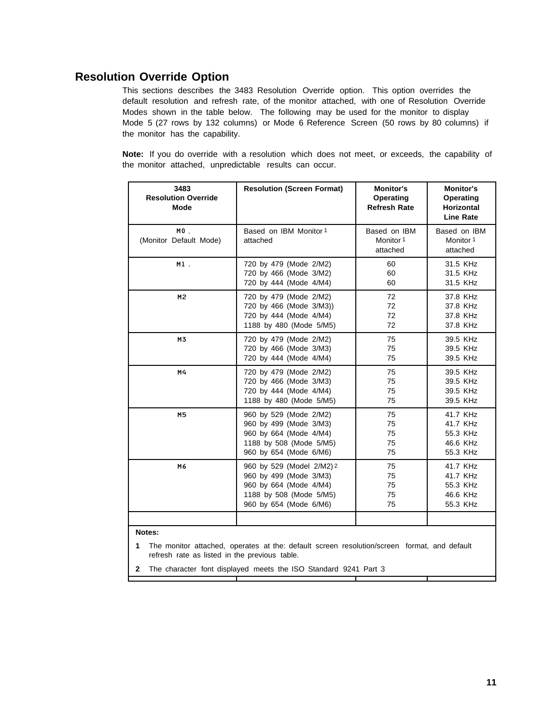### **Resolution Override Option**

This sections describes the 3483 Resolution Override option. This option overrides the default resolution and refresh rate, of the monitor attached, with one of Resolution Override Modes shown in the table below. The following may be used for the monitor to display Mode 5 (27 rows by 132 columns) or Mode 6 Reference Screen (50 rows by 80 columns) if the monitor has the capability.

**Note:** If you do override with a resolution which does not meet, or exceeds, the capability of the monitor attached, unpredictable results can occur.

| 3483<br><b>Resolution Override</b><br><b>Mode</b>                                                                                                                      | <b>Resolution (Screen Format)</b>                                                                                               | <b>Monitor's</b><br><b>Operating</b><br><b>Horizontal</b><br><b>Line Rate</b> |                                                          |  |  |
|------------------------------------------------------------------------------------------------------------------------------------------------------------------------|---------------------------------------------------------------------------------------------------------------------------------|-------------------------------------------------------------------------------|----------------------------------------------------------|--|--|
| $MO$ .<br>(Monitor Default Mode)                                                                                                                                       | Based on IBM Monitor 1<br>attached                                                                                              | Based on IBM<br>Monitor 1<br>attached                                         |                                                          |  |  |
| $M1$ .                                                                                                                                                                 | 720 by 479 (Mode 2/M2)<br>720 by 466 (Mode 3/M2)<br>720 by 444 (Mode 4/M4)                                                      | 60<br>60<br>60                                                                |                                                          |  |  |
| M2                                                                                                                                                                     | 720 by 479 (Mode 2/M2)<br>720 by 466 (Mode 3/M3))<br>720 by 444 (Mode 4/M4)<br>1188 by 480 (Mode 5/M5)                          | 72<br>72<br>72<br>72                                                          | 37.8 KHz<br>37.8 KHz<br>37.8 KHz<br>37.8 KHz             |  |  |
| M3                                                                                                                                                                     | 720 by 479 (Mode 2/M2)<br>720 by 466 (Mode 3/M3)<br>720 by 444 (Mode 4/M4)                                                      | 75<br>75<br>75                                                                | 39.5 KHz<br>39.5 KHz<br>39.5 KHz                         |  |  |
| M4                                                                                                                                                                     | 720 by 479 (Mode 2/M2)<br>720 by 466 (Mode 3/M3)<br>720 by 444 (Mode 4/M4)<br>1188 by 480 (Mode 5/M5)                           | 39.5 KHz<br>39.5 KHz<br>39.5 KHz<br>39.5 KHz                                  |                                                          |  |  |
| M <sub>5</sub>                                                                                                                                                         | 960 by 529 (Mode 2/M2)<br>960 by 499 (Mode 3/M3)<br>960 by 664 (Mode 4/M4)<br>1188 by 508 (Mode 5/M5)<br>960 by 654 (Mode 6/M6) | 75<br>75<br>75<br>75<br>75                                                    | 41.7 KHz<br>41.7 KHz<br>55.3 KHz<br>46.6 KHz<br>55.3 KHz |  |  |
| M6<br>960 by 529 (Model 2/M2) 2<br>75<br>960 by 499 (Mode 3/M3)<br>75<br>960 by 664 (Mode 4/M4)<br>75<br>1188 by 508 (Mode 5/M5)<br>75<br>960 by 654 (Mode 6/M6)<br>75 |                                                                                                                                 | 41.7 KHz<br>41.7 KHz<br>55.3 KHz<br>46.6 KHz<br>55.3 KHz                      |                                                          |  |  |
| Notes:<br>1                                                                                                                                                            | The monitor attached, operates at the: default screen resolution/screen format, and default                                     |                                                                               |                                                          |  |  |

refresh rate as listed in the previous table.

**2** The character font displayed meets the ISO Standard 9241 Part 3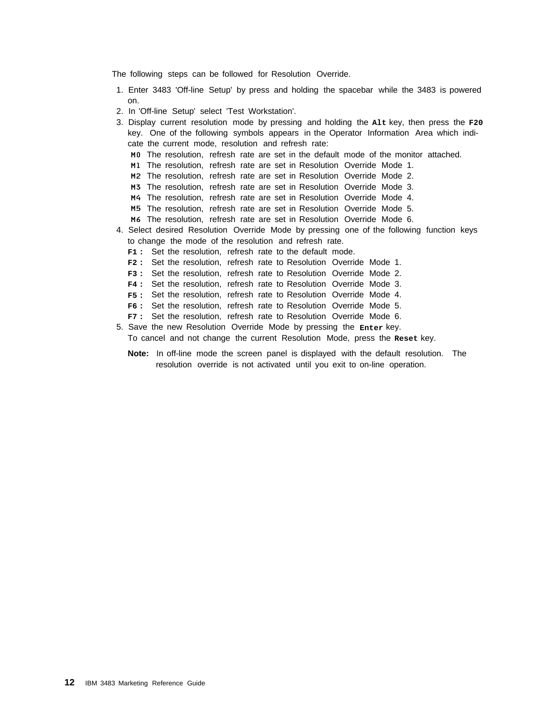The following steps can be followed for Resolution Override.

- 1. Enter 3483 'Off-line Setup' by press and holding the spacebar while the 3483 is powered on.
- 2. In 'Off-line Setup' select 'Test Workstation'.
- 3. Display current resolution mode by pressing and holding the **Alt** key, then press the **F20** key. One of the following symbols appears in the Operator Information Area which indicate the current mode, resolution and refresh rate: M0 The resolution, refresh rate are set in the default mode of the monitor attached. M1 The resolution, refresh rate are set in Resolution Override Mode 1. M2 The resolution, refresh rate are set in Resolution Override Mode 2. M3 The resolution, refresh rate are set in Resolution Override Mode 3. M4 The resolution, refresh rate are set in Resolution Override Mode 4. M5 The resolution, refresh rate are set in Resolution Override Mode 5. M6 The resolution, refresh rate are set in Resolution Override Mode 6. 4. Select desired Resolution Override Mode by pressing one of the following function keys to change the mode of the resolution and refresh rate.
	- **F1 :** Set the resolution, refresh rate to the default mode.
	- **F2 :** Set the resolution, refresh rate to Resolution Override Mode 1.
	- **F3 :** Set the resolution, refresh rate to Resolution Override Mode 2.
	- **F4 :** Set the resolution, refresh rate to Resolution Override Mode 3.
	- **F5 :** Set the resolution, refresh rate to Resolution Override Mode 4.
	- **F6 :** Set the resolution, refresh rate to Resolution Override Mode 5.
	- **F7 :** Set the resolution, refresh rate to Resolution Override Mode 6.
- 5. Save the new Resolution Override Mode by pressing the **Enter** key. To cancel and not change the current Resolution Mode, press the **Reset** key.
	- **Note:** In off-line mode the screen panel is displayed with the default resolution. The resolution override is not activated until you exit to on-line operation.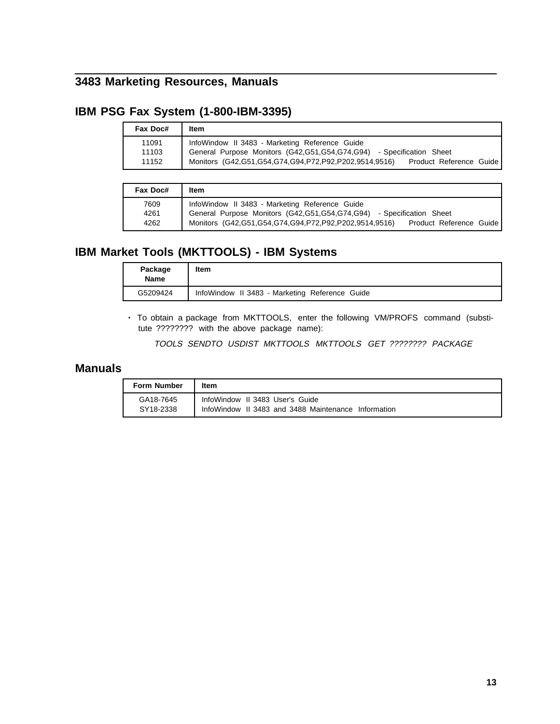## **3483 Marketing Resources, Manuals**

### **IBM PSG Fax System (1-800-IBM-3395)**

| Fax Doc#                | Item                                                                                                                                                                                                                    |
|-------------------------|-------------------------------------------------------------------------------------------------------------------------------------------------------------------------------------------------------------------------|
| 11091<br>11103<br>11152 | InfoWindow II 3483 - Marketing Reference Guide<br>General Purpose Monitors (G42, G51, G54, G74, G94) - Specification Sheet<br>Monitors (G42, G51, G54, G74, G94, P72, P92, P202, 9514, 9516)<br>Product Reference Guide |

| Fax Doc#             | Item                                                                                                                                                                                                                    |
|----------------------|-------------------------------------------------------------------------------------------------------------------------------------------------------------------------------------------------------------------------|
| 7609<br>4261<br>4262 | InfoWindow II 3483 - Marketing Reference Guide<br>General Purpose Monitors (G42, G51, G54, G74, G94) - Specification Sheet<br>Monitors (G42, G51, G54, G74, G94, P72, P92, P202, 9514, 9516)<br>Product Reference Guide |

### **IBM Market Tools (MKTTOOLS) - IBM Systems**

| Package<br>Name | <b>Item</b>                                    |
|-----------------|------------------------------------------------|
| G5209424        | InfoWindow II 3483 - Marketing Reference Guide |

• To obtain a package from MKTTOOLS, enter the following VM/PROFS command (substitute ???????? with the above package name):

TOOLS SENDTO USDIST MKTTOOLS MKTTOOLS GET ???????? PACKAGE

### **Manuals**

| <b>Form Number</b> | ltem                                                |
|--------------------|-----------------------------------------------------|
| GA18-7645          | InfoWindow II 3483 User's Guide                     |
| SY18-2338          | InfoWindow II 3483 and 3488 Maintenance Information |